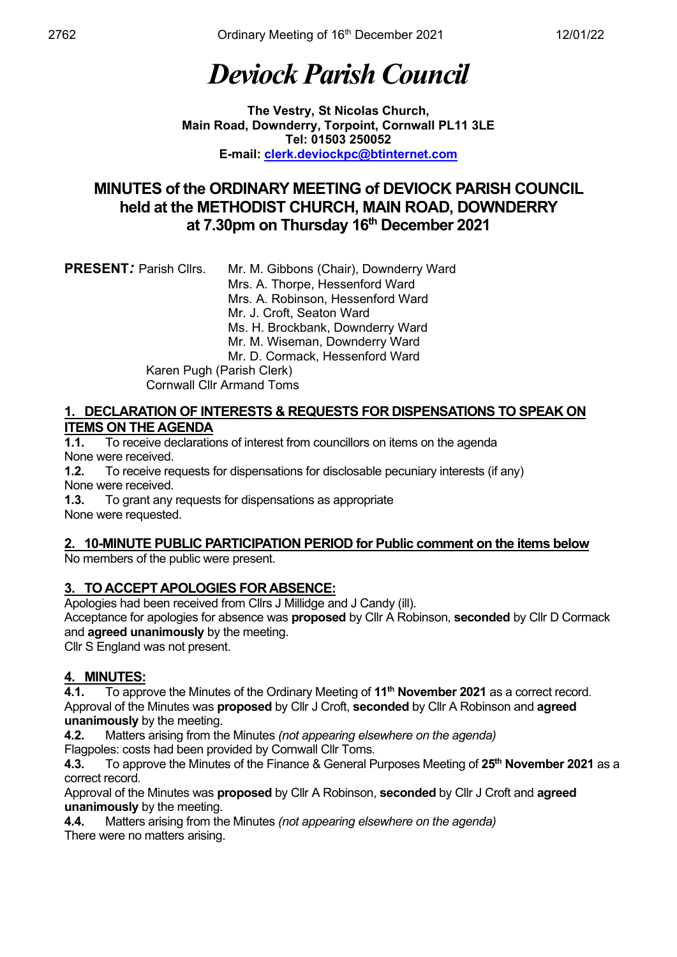# *Deviock Parish Council*

**The Vestry, St Nicolas Church, Main Road, Downderry, Torpoint, Cornwall PL11 3LE Tel: 01503 250052 E-mail: [clerk.deviockpc@btinternet.com](mailto:clerk.deviockpc@btinternet.com)**

### **MINUTES of the ORDINARY MEETING of DEVIOCK PARISH COUNCIL held at the METHODIST CHURCH, MAIN ROAD, DOWNDERRY at 7.30pm on Thursday 16th December 2021**

### **1. DECLARATION OF INTERESTS & REQUESTS FOR DISPENSATIONS TO SPEAK ON ITEMS ON THE AGENDA**<br>**1.1.** To receive declaration

**1.1.** To receive declarations of interest from councillors on items on the agenda None were received.

**1.2.** To receive requests for dispensations for disclosable pecuniary interests (if any) None were received.

**1.3.** To grant any requests for dispensations as appropriate None were requested.

#### **2. 10-MINUTE PUBLIC PARTICIPATION PERIOD for Public comment on the items below** No members of the public were present.

**3. TO ACCEPT APOLOGIES FOR ABSENCE:**

Apologies had been received from Cllrs J Millidge and J Candy (ill).

Acceptance for apologies for absence was **proposed** by Cllr A Robinson, **seconded** by Cllr D Cormack and **agreed unanimously** by the meeting.

Cllr S England was not present.

## **4. MINUTES:**<br>**4.1.** To appr

**4.1.** To approve the Minutes of the Ordinary Meeting of **11th November 2021** as a correct record. Approval of the Minutes was **proposed** by Cllr J Croft, **seconded** by Cllr A Robinson and **agreed unanimously** by the meeting.

**4.2.** Matters arising from the Minutes *(not appearing elsewhere on the agenda)*

Flagpoles: costs had been provided by Cornwall Cllr Toms. **4.3.** To approve the Minutes of the Finance & General Purposes Meeting of **25th November 2021** as a correct record.

Approval of the Minutes was **proposed** by Cllr A Robinson, **seconded** by Cllr J Croft and **agreed** 

**unanimously** by the meeting.<br>**4.4.** Matters arising from the **4.4.** Matters arising from the Minutes *(not appearing elsewhere on the agenda)* There were no matters arising.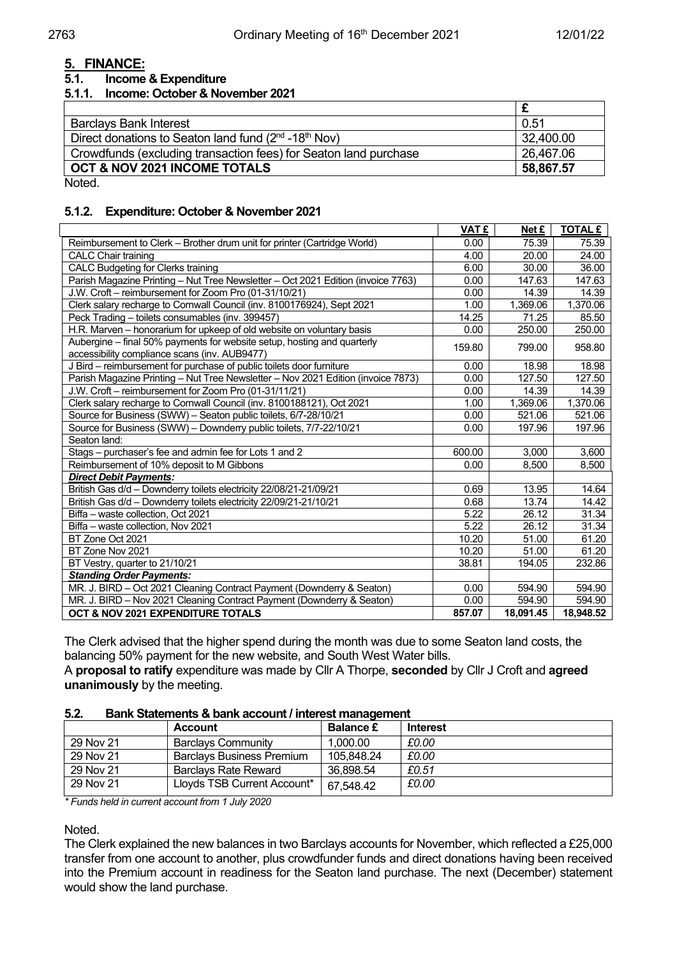#### **5. FINANCE:**

#### **5.1. Income & Expenditure**

#### **5.1.1. Income: October & November 2021**

| <b>Barclays Bank Interest</b>                                    | 0.51      |
|------------------------------------------------------------------|-----------|
| Direct donations to Seaton land fund $(2^{nd} - 18^{th}$ Nov)    | 32,400.00 |
| Crowdfunds (excluding transaction fees) for Seaton land purchase | 26,467.06 |
| OCT & NOV 2021 INCOME TOTALS                                     | 58,867.57 |
| .                                                                |           |

Noted.

#### **5.1.2. Expenditure: October & November 2021**

|                                                                                                                          | VAT £  | Net £     | <b>TOTAL £</b> |
|--------------------------------------------------------------------------------------------------------------------------|--------|-----------|----------------|
| Reimbursement to Clerk - Brother drum unit for printer (Cartridge World)                                                 | 0.00   | 75.39     | 75.39          |
| <b>CALC Chair training</b>                                                                                               | 4.00   | 20.00     | 24.00          |
| <b>CALC Budgeting for Clerks training</b>                                                                                | 6.00   | 30.00     | 36.00          |
| Parish Magazine Printing - Nut Tree Newsletter - Oct 2021 Edition (invoice 7763)                                         | 0.00   | 147.63    | 147.63         |
| J.W. Croft - reimbursement for Zoom Pro (01-31/10/21)                                                                    | 0.00   | 14.39     | 14.39          |
| Clerk salary recharge to Cornwall Council (inv. 8100176924), Sept 2021                                                   | 1.00   | 1,369.06  | 1,370.06       |
| Peck Trading - toilets consumables (inv. 399457)                                                                         | 14.25  | 71.25     | 85.50          |
| H.R. Marven – honorarium for upkeep of old website on voluntary basis                                                    | 0.00   | 250.00    | 250.00         |
| Aubergine – final 50% payments for website setup, hosting and quarterly<br>accessibility compliance scans (inv. AUB9477) | 159.80 | 799.00    | 958.80         |
| J Bird - reimbursement for purchase of public toilets door furniture                                                     | 0.00   | 18.98     | 18.98          |
| Parish Magazine Printing - Nut Tree Newsletter - Nov 2021 Edition (invoice 7873)                                         | 0.00   | 127.50    | 127.50         |
| J.W. Croft - reimbursement for Zoom Pro (01-31/11/21)                                                                    | 0.00   | 14.39     | 14.39          |
| Clerk salary recharge to Cornwall Council (inv. 8100188121), Oct 2021                                                    | 1.00   | 1,369.06  | 1,370.06       |
| Source for Business (SWW) - Seaton public toilets, 6/7-28/10/21                                                          | 0.00   | 521.06    | 521.06         |
| Source for Business (SWW) - Downderry public toilets, 7/7-22/10/21                                                       | 0.00   | 197.96    | 197.96         |
| Seaton land:                                                                                                             |        |           |                |
| Stags – purchaser's fee and admin fee for Lots 1 and 2                                                                   | 600.00 | 3.000     | 3,600          |
| Reimbursement of 10% deposit to M Gibbons                                                                                | 0.00   | 8,500     | 8,500          |
| <b>Direct Debit Payments:</b>                                                                                            |        |           |                |
| British Gas d/d - Downderry toilets electricity 22/08/21-21/09/21                                                        | 0.69   | 13.95     | 14.64          |
| British Gas d/d - Downderry toilets electricity 22/09/21-21/10/21                                                        | 0.68   | 13.74     | 14.42          |
| Biffa - waste collection, Oct 2021                                                                                       | 5.22   | 26.12     | 31.34          |
| Biffa - waste collection, Nov 2021                                                                                       | 5.22   | 26.12     | 31.34          |
| BT Zone Oct 2021                                                                                                         | 10.20  | 51.00     | 61.20          |
| BT Zone Nov 2021                                                                                                         | 10.20  | 51.00     | 61.20          |
| BT Vestry, quarter to 21/10/21                                                                                           | 38.81  | 194.05    | 232.86         |
| <b>Standing Order Payments:</b>                                                                                          |        |           |                |
| MR. J. BIRD - Oct 2021 Cleaning Contract Payment (Downderry & Seaton)                                                    | 0.00   | 594.90    | 594.90         |
| MR. J. BIRD - Nov 2021 Cleaning Contract Payment (Downderry & Seaton)                                                    | 0.00   | 594.90    | 594.90         |
| OCT & NOV 2021 EXPENDITURE TOTALS                                                                                        | 857.07 | 18,091.45 | 18,948.52      |

The Clerk advised that the higher spend during the month was due to some Seaton land costs, the balancing 50% payment for the new website, and South West Water bills.

A **proposal to ratify** expenditure was made by Cllr A Thorpe, **seconded** by Cllr J Croft and **agreed unanimously** by the meeting.

#### **5.2. Bank Statements & bank account / interest management**

|           | <b>Account</b>              | <b>Balance £</b> | <b>Interest</b> |
|-----------|-----------------------------|------------------|-----------------|
| 29 Nov 21 | Barclavs Community          | 1,000.00         | £0.00           |
| 29 Nov 21 | Barclavs Business Premium   | 105,848.24       | £0.00           |
| 29 Nov 21 | <b>Barclavs Rate Reward</b> | 36,898.54        | £0.51           |
| 29 Nov 21 | Lloyds TSB Current Account* | 67,548.42        | £0.00           |

*\* Funds held in current account from 1 July 2020*

Noted.

The Clerk explained the new balances in two Barclays accounts for November, which reflected a £25,000 transfer from one account to another, plus crowdfunder funds and direct donations having been received into the Premium account in readiness for the Seaton land purchase. The next (December) statement would show the land purchase.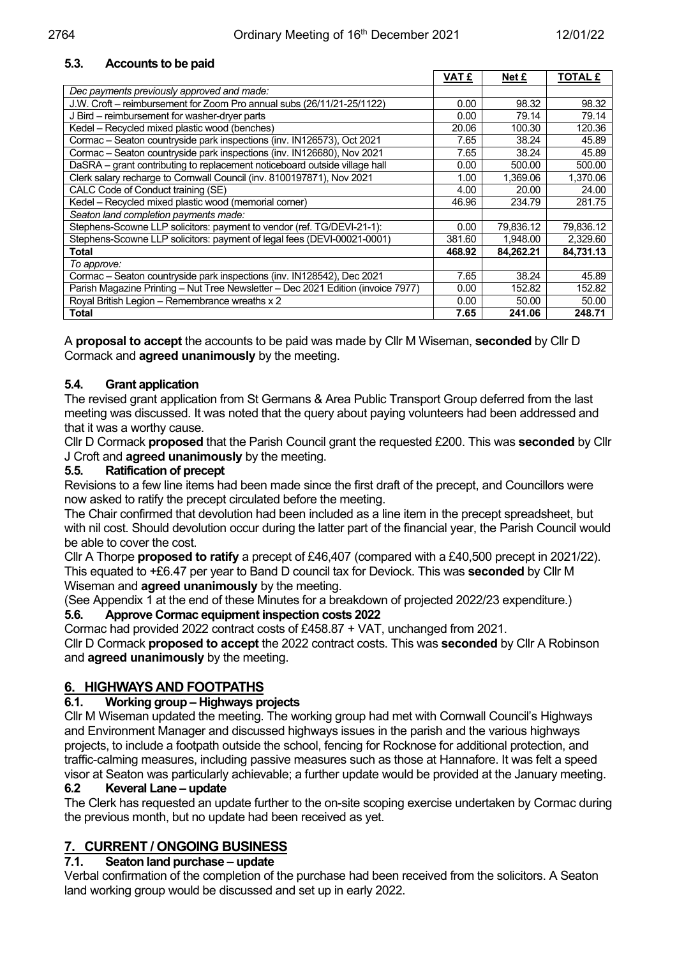#### **5.3. Accounts to be paid**

|                                                                                  | <b>VAT £</b> | Net £     | <b>TOTAL £</b> |
|----------------------------------------------------------------------------------|--------------|-----------|----------------|
| Dec payments previously approved and made:                                       |              |           |                |
| J.W. Croft – reimbursement for Zoom Pro annual subs (26/11/21-25/1122)           | 0.00         | 98.32     | 98.32          |
| J Bird – reimbursement for washer-dryer parts                                    | 0.00         | 79.14     | 79.14          |
| Kedel – Recycled mixed plastic wood (benches)                                    | 20.06        | 100.30    | 120.36         |
| Cormac - Seaton countryside park inspections (inv. IN126573), Oct 2021           | 7.65         | 38.24     | 45.89          |
| Cormac - Seaton countryside park inspections (inv. IN126680), Nov 2021           | 7.65         | 38.24     | 45.89          |
| DaSRA - grant contributing to replacement noticeboard outside village hall       | 0.00         | 500.00    | 500.00         |
| Clerk salary recharge to Cornwall Council (inv. 8100197871), Nov 2021            | 1.00         | 1,369.06  | 1,370.06       |
| CALC Code of Conduct training (SE)                                               | 4.00         | 20.00     | 24.00          |
| Kedel - Recycled mixed plastic wood (memorial corner)                            | 46.96        | 234.79    | 281.75         |
| Seaton land completion payments made:                                            |              |           |                |
| Stephens-Scowne LLP solicitors: payment to vendor (ref. TG/DEVI-21-1):           | 0.00         | 79,836.12 | 79,836.12      |
| Stephens-Scowne LLP solicitors: payment of legal fees (DEVI-00021-0001)          | 381.60       | 1.948.00  | 2.329.60       |
| Total                                                                            | 468.92       | 84,262.21 | 84,731.13      |
| To approve:                                                                      |              |           |                |
| Cormac - Seaton countryside park inspections (inv. IN128542), Dec 2021           | 7.65         | 38.24     | 45.89          |
| Parish Magazine Printing - Nut Tree Newsletter - Dec 2021 Edition (invoice 7977) | 0.00         | 152.82    | 152.82         |
| Royal British Legion - Remembrance wreaths x 2                                   | 0.00         | 50.00     | 50.00          |
| Total                                                                            | 7.65         | 241.06    | 248.71         |

A **proposal to accept** the accounts to be paid was made by Cllr M Wiseman, **seconded** by Cllr D Cormack and **agreed unanimously** by the meeting.

#### **5.4. Grant application**

The revised grant application from St Germans & Area Public Transport Group deferred from the last meeting was discussed. It was noted that the query about paying volunteers had been addressed and that it was a worthy cause.

Cllr D Cormack **proposed** that the Parish Council grant the requested £200. This was **seconded** by Cllr J Croft and **agreed unanimously** by the meeting.

#### **5.5. Ratification of precept**

Revisions to a few line items had been made since the first draft of the precept, and Councillors were now asked to ratify the precept circulated before the meeting.

The Chair confirmed that devolution had been included as a line item in the precept spreadsheet, but with nil cost. Should devolution occur during the latter part of the financial year, the Parish Council would be able to cover the cost.

Cllr A Thorpe **proposed to ratify** a precept of £46,407 (compared with a £40,500 precept in 2021/22). This equated to +£6.47 per year to Band D council tax for Deviock. This was **seconded** by Cllr M Wiseman and **agreed unanimously** by the meeting.

(See Appendix 1 at the end of these Minutes for a breakdown of projected 2022/23 expenditure.) **5.6. Approve Cormac equipment inspection costs 2022**

Cormac had provided 2022 contract costs of £458.87 + VAT, unchanged from 2021.

Cllr D Cormack **proposed to accept** the 2022 contract costs. This was **seconded** by Cllr A Robinson and **agreed unanimously** by the meeting.

# **6. HIGHWAYS AND FOOTPATHS**

#### **6.1. Working group – Highways projects**

Cllr M Wiseman updated the meeting. The working group had met with Cornwall Council's Highways and Environment Manager and discussed highways issues in the parish and the various highways projects, to include a footpath outside the school, fencing for Rocknose for additional protection, and traffic-calming measures, including passive measures such as those at Hannafore. It was felt a speed visor at Seaton was particularly achievable; a further update would be provided at the January meeting.

#### **6.2 Keveral Lane – update**

The Clerk has requested an update further to the on-site scoping exercise undertaken by Cormac during the previous month, but no update had been received as yet.

## **7. CURRENT / ONGOING BUSINESS**

#### **7.1. Seaton land purchase – update**

Verbal confirmation of the completion of the purchase had been received from the solicitors. A Seaton land working group would be discussed and set up in early 2022.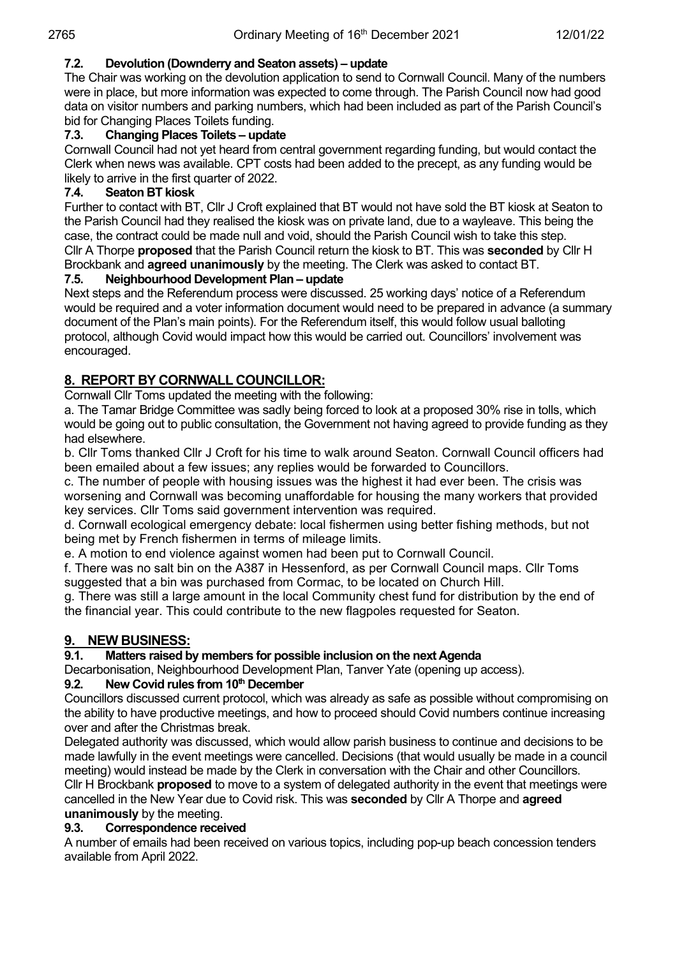#### **7.2. Devolution (Downderry and Seaton assets) – update**

The Chair was working on the devolution application to send to Cornwall Council. Many of the numbers were in place, but more information was expected to come through. The Parish Council now had good data on visitor numbers and parking numbers, which had been included as part of the Parish Council's bid for Changing Places Toilets funding.

#### **7.3. Changing Places Toilets – update**

Cornwall Council had not yet heard from central government regarding funding, but would contact the Clerk when news was available. CPT costs had been added to the precept, as any funding would be likely to arrive in the first quarter of 2022.<br>7.4. Seaton BT kiosk

#### **7.4. Seaton BT kiosk**

Further to contact with BT, Cllr J Croft explained that BT would not have sold the BT kiosk at Seaton to the Parish Council had they realised the kiosk was on private land, due to a wayleave. This being the case, the contract could be made null and void, should the Parish Council wish to take this step. Cllr A Thorpe **proposed** that the Parish Council return the kiosk to BT. This was **seconded** by Cllr H Brockbank and **agreed unanimously** by the meeting. The Clerk was asked to contact BT.

#### **7.5. Neighbourhood Development Plan – update**

Next steps and the Referendum process were discussed. 25 working days' notice of a Referendum would be required and a voter information document would need to be prepared in advance (a summary document of the Plan's main points). For the Referendum itself, this would follow usual balloting protocol, although Covid would impact how this would be carried out. Councillors' involvement was encouraged.

#### **8. REPORT BY CORNWALL COUNCILLOR:**

Cornwall Cllr Toms updated the meeting with the following:

a. The Tamar Bridge Committee was sadly being forced to look at a proposed 30% rise in tolls, which would be going out to public consultation, the Government not having agreed to provide funding as they had elsewhere.

b. Cllr Toms thanked Cllr J Croft for his time to walk around Seaton. Cornwall Council officers had been emailed about a few issues; any replies would be forwarded to Councillors.

c. The number of people with housing issues was the highest it had ever been. The crisis was worsening and Cornwall was becoming unaffordable for housing the many workers that provided key services. Cllr Toms said government intervention was required.

d. Cornwall ecological emergency debate: local fishermen using better fishing methods, but not being met by French fishermen in terms of mileage limits.

e. A motion to end violence against women had been put to Cornwall Council.

f. There was no salt bin on the A387 in Hessenford, as per Cornwall Council maps. Cllr Toms suggested that a bin was purchased from Cormac, to be located on Church Hill.

g. There was still a large amount in the local Community chest fund for distribution by the end of the financial year. This could contribute to the new flagpoles requested for Seaton.

## **9. NEW BUSINESS:**<br>9.1. Matters raised b

#### **9.1. Matters raised by members for possible inclusion on the next Agenda**

Decarbonisation, Neighbourhood Development Plan, Tanver Yate (opening up access).

#### **9.2. New Covid rules from 10th December**

Councillors discussed current protocol, which was already as safe as possible without compromising on the ability to have productive meetings, and how to proceed should Covid numbers continue increasing over and after the Christmas break.

Delegated authority was discussed, which would allow parish business to continue and decisions to be made lawfully in the event meetings were cancelled. Decisions (that would usually be made in a council meeting) would instead be made by the Clerk in conversation with the Chair and other Councillors.

Cllr H Brockbank **proposed** to move to a system of delegated authority in the event that meetings were cancelled in the New Year due to Covid risk. This was **seconded** by Cllr A Thorpe and **agreed unanimously** by the meeting.

#### **9.3. Correspondence received**

A number of emails had been received on various topics, including pop-up beach concession tenders available from April 2022.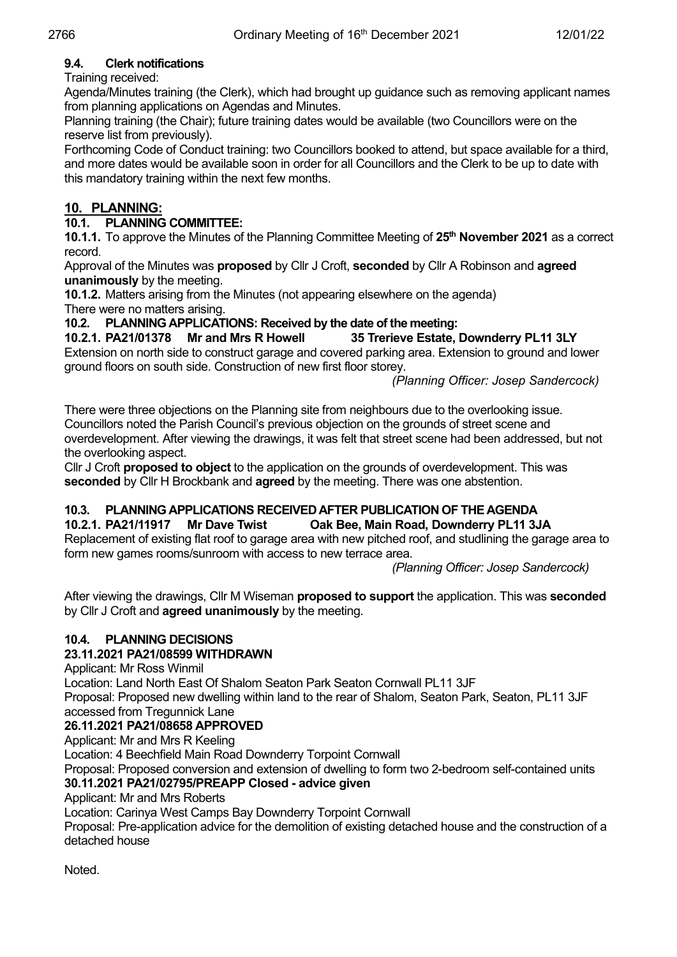#### **9.4. Clerk notifications**

#### Training received:

Agenda/Minutes training (the Clerk), which had brought up guidance such as removing applicant names from planning applications on Agendas and Minutes.

Planning training (the Chair); future training dates would be available (two Councillors were on the reserve list from previously).

Forthcoming Code of Conduct training: two Councillors booked to attend, but space available for a third, and more dates would be available soon in order for all Councillors and the Clerk to be up to date with this mandatory training within the next few months.

### **10. PLANNING:**

#### **10.1. PLANNING COMMITTEE:**

**10.1.1.** To approve the Minutes of the Planning Committee Meeting of 25<sup>th</sup> November 2021 as a correct record.

Approval of the Minutes was **proposed** by Cllr J Croft, **seconded** by Cllr A Robinson and **agreed unanimously** by the meeting.

**10.1.2.** Matters arising from the Minutes (not appearing elsewhere on the agenda) There were no matters arising.

#### **10.2. PLANNING APPLICATIONS: Received by the date of the meeting:**

**10.2.1. PA21/01378 Mr and Mrs R Howell 35 Trerieve Estate, Downderry PL11 3LY** Extension on north side to construct garage and covered parking area. Extension to ground and lower ground floors on south side. Construction of new first floor storey.

*(Planning Officer: Josep Sandercock)*

There were three objections on the Planning site from neighbours due to the overlooking issue. Councillors noted the Parish Council's previous objection on the grounds of street scene and overdevelopment. After viewing the drawings, it was felt that street scene had been addressed, but not the overlooking aspect.

Cllr J Croft **proposed to object** to the application on the grounds of overdevelopment. This was **seconded** by Cllr H Brockbank and **agreed** by the meeting. There was one abstention.

# **10.3. PLANNING APPLICATIONS RECEIVED AFTER PUBLICATION OF THE AGENDA**

#### **10.2.1. PA21/11917 Mr Dave Twist Oak Bee, Main Road, Downderry PL11 3JA**

Replacement of existing flat roof to garage area with new pitched roof, and studlining the garage area to form new games rooms/sunroom with access to new terrace area.

*(Planning Officer: Josep Sandercock)*

After viewing the drawings, Cllr M Wiseman **proposed to support** the application. This was **seconded** by Cllr J Croft and **agreed unanimously** by the meeting.

#### **10.4. PLANNING DECISIONS**

#### **23.11.2021 PA21/08599 WITHDRAWN**

Applicant: Mr Ross Winmil

Location: Land North East Of Shalom Seaton Park Seaton Cornwall PL11 3JF

Proposal: Proposed new dwelling within land to the rear of Shalom, Seaton Park, Seaton, PL11 3JF accessed from Tregunnick Lane

#### **26.11.2021 PA21/08658 APPROVED**

Applicant: Mr and Mrs R Keeling

Location: 4 Beechfield Main Road Downderry Torpoint Cornwall

Proposal: Proposed conversion and extension of dwelling to form two 2-bedroom self-contained units **30.11.2021 PA21/02795/PREAPP Closed - advice given** 

Applicant: Mr and Mrs Roberts

Location: Carinya West Camps Bay Downderry Torpoint Cornwall

Proposal: Pre-application advice for the demolition of existing detached house and the construction of a detached house

Noted.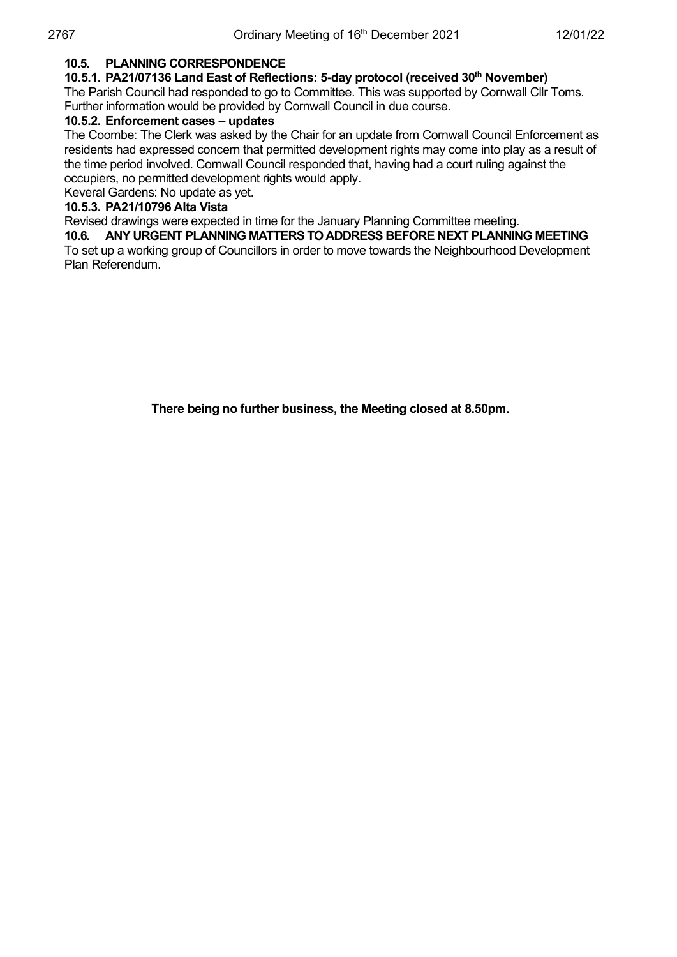#### **10.5. PLANNING CORRESPONDENCE**

#### **10.5.1. PA21/07136 Land East of Reflections: 5-day protocol (received 30th November)**

The Parish Council had responded to go to Committee. This was supported by Cornwall Cllr Toms. Further information would be provided by Cornwall Council in due course.

#### **10.5.2. Enforcement cases – updates**

The Coombe: The Clerk was asked by the Chair for an update from Cornwall Council Enforcement as residents had expressed concern that permitted development rights may come into play as a result of the time period involved. Cornwall Council responded that, having had a court ruling against the occupiers, no permitted development rights would apply.

Keveral Gardens: No update as yet.

#### **10.5.3. PA21/10796 Alta Vista**

Revised drawings were expected in time for the January Planning Committee meeting.

#### **10.6. ANY URGENT PLANNING MATTERS TO ADDRESS BEFORE NEXT PLANNING MEETING**

To set up a working group of Councillors in order to move towards the Neighbourhood Development Plan Referendum.

**There being no further business, the Meeting closed at 8.50pm.**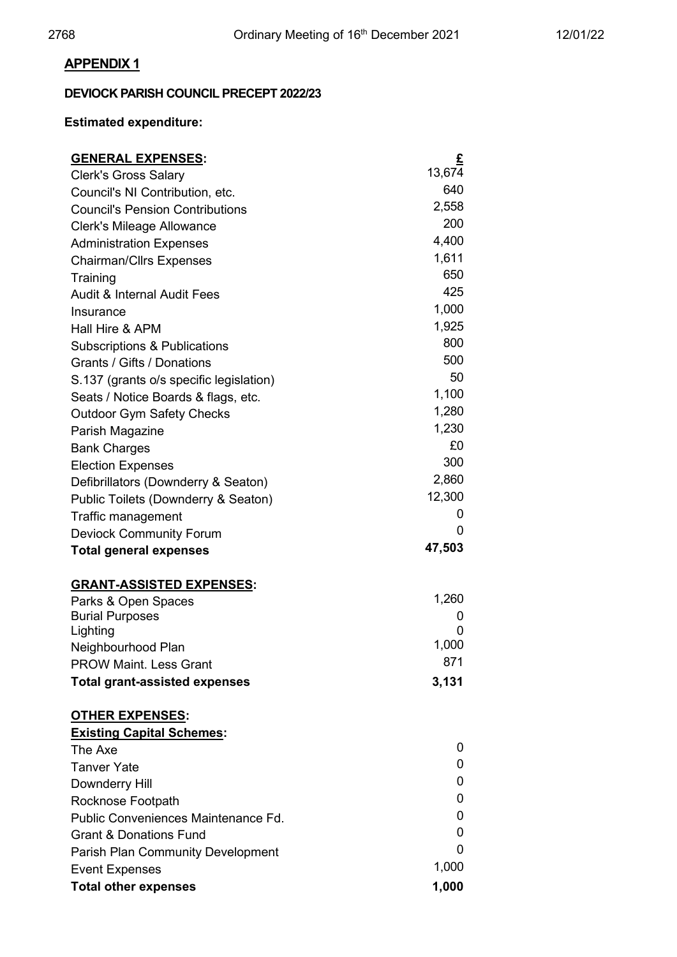### **APPENDIX 1**

### **DEVIOCK PARISH COUNCIL PRECEPT 2022/23**

### **Estimated expenditure:**

| <b>GENERAL EXPENSES:</b>                                          | £      |
|-------------------------------------------------------------------|--------|
| <b>Clerk's Gross Salary</b>                                       | 13,674 |
| Council's NI Contribution, etc.                                   | 640    |
| <b>Council's Pension Contributions</b>                            | 2,558  |
| Clerk's Mileage Allowance                                         | 200    |
| <b>Administration Expenses</b>                                    | 4,400  |
| <b>Chairman/Cllrs Expenses</b>                                    | 1,611  |
| Training                                                          | 650    |
| <b>Audit &amp; Internal Audit Fees</b>                            | 425    |
| Insurance                                                         | 1,000  |
| Hall Hire & APM                                                   | 1,925  |
| Subscriptions & Publications                                      | 800    |
| Grants / Gifts / Donations                                        | 500    |
| S.137 (grants o/s specific legislation)                           | 50     |
| Seats / Notice Boards & flags, etc.                               | 1,100  |
| <b>Outdoor Gym Safety Checks</b>                                  | 1,280  |
| Parish Magazine                                                   | 1,230  |
| <b>Bank Charges</b>                                               | £0     |
| <b>Election Expenses</b>                                          | 300    |
| Defibrillators (Downderry & Seaton)                               | 2,860  |
| Public Toilets (Downderry & Seaton)                               | 12,300 |
| Traffic management                                                | 0      |
| <b>Deviock Community Forum</b>                                    | 0      |
| <b>Total general expenses</b>                                     | 47,503 |
| <b>GRANT-ASSISTED EXPENSES:</b>                                   |        |
| Parks & Open Spaces                                               | 1,260  |
| <b>Burial Purposes</b>                                            | 0      |
| Lighting                                                          | 0      |
| Neighbourhood Plan                                                | 1,000  |
| <b>PROW Maint. Less Grant</b>                                     | 871    |
| <b>Total grant-assisted expenses</b>                              | 3,131  |
| <b>OTHER EXPENSES:</b>                                            |        |
| <b>Existing Capital Schemes:</b>                                  |        |
|                                                                   |        |
| The Axe                                                           | 0      |
| <b>Tanver Yate</b>                                                | 0      |
|                                                                   | 0      |
| Downderry Hill                                                    | 0      |
| Rocknose Footpath<br>Public Conveniences Maintenance Fd.          | 0      |
| <b>Grant &amp; Donations Fund</b>                                 | 0      |
|                                                                   | 0      |
| <b>Parish Plan Community Development</b><br><b>Event Expenses</b> | 1,000  |
| <b>Total other expenses</b>                                       | 1,000  |